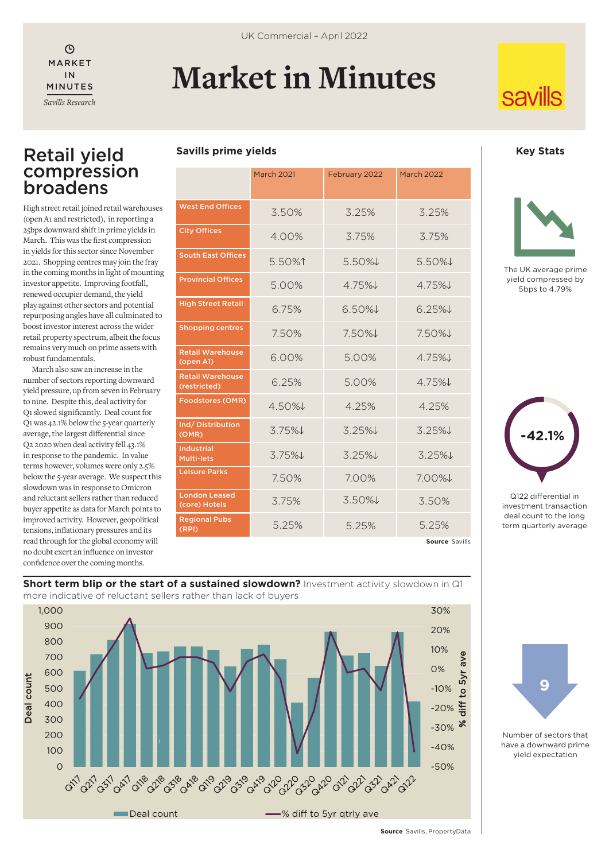$\odot$ IN MINUTES *Savills Research*

# MARKET **Market in Minutes**

**Savills prime yields**

# **savills**

# Retail yield compression broadens

High street retail joined retail warehouses (open A1 and restricted), in reporting a 25bps downward shift in prime yields in March. This was the first compression in yields for this sector since November 2021. Shopping centres may join the fray in the coming months in light of mounting investor appetite. Improving footfall, renewed occupier demand, the yield play against other sectors and potential repurposing angles have all culminated to boost investor interest across the wider retail property spectrum, albeit the focus remains very much on prime assets with robust fundamentals.

March also saw an increase in the number of sectors reporting downward yield pressure, up from seven in February to nine. Despite this, deal activity for Q1 slowed significantly. Deal count for Q1 was 42.1% below the 5-year quarterly average, the largest differential since Q2 2020 when deal activity fell 43.1% in response to the pandemic. In value terms however, volumes were only 2.5% below the 5-year average. We suspect this slowdown was in response to Omicron and reluctant sellers rather than reduced buyer appetite as data for March points to improved activity. However, geopolitical tensions, inflationary pressures and its read through for the global economy will no doubt exert an influence on investor confidence over the coming months.

|                                         | <b>March 2021</b> | February 2022 | <b>March 2022</b> |
|-----------------------------------------|-------------------|---------------|-------------------|
| <b>West End Offices</b>                 | 3.50%             | 3.25%         | 3.25%             |
| <b>City Offices</b>                     | 4.00%             | 3.75%         | 3.75%             |
| <b>South East Offices</b>               | 5.50%↑            | 5.50%↓        | $5.50\%$          |
| <b>Provincial Offices</b>               | 5.00%             | 4.75%J        | 4.75%             |
| <b>High Street Retail</b>               | 6.75%             | $6.50\%$      | $6.25\%$          |
| <b>Shopping centres</b>                 | 7.50%             | $7.50\%$      | $7.50\%$          |
| <b>Retail Warehouse</b><br>(open A1)    | 6.00%             | 5.00%         | 4.75%             |
| <b>Retail Warehouse</b><br>(restricted) | 6.25%             | 5.00%         | 475%              |
| <b>Foodstores (OMR)</b>                 | $4.50\%$          | 4.25%         | 4.25%             |
| Ind/Distribution<br>(OMR)               | $3.75\%$          | $3.25\%$      | $3.25\%$          |
| <b>Industrial</b><br><b>Multi-lets</b>  | 3.75%↓            | 3.25%         | $3.25\%$          |
| <b>Leisure Parks</b>                    | 7.50%             | 7.00%         | 7.00%↓            |
| <b>London Leased</b><br>(core) Hotels   | 3.75%             | $3.50\%$      | 3.50%             |
| <b>Regional Pubs</b><br>(RPI)           | 5.25%             | 5.25%         | 5.25%             |

**Source** Savills

#### **Key Stats**



The UK average prime yield compressed by 5bps to 4.79%



Q122 differential in investment transaction deal count to the long term quarterly average



#### **Short term blip or the start of a sustained slowdown?** Investment activity slowdown in Q1 more indicative of reluctant sellers rather than lack of buyers